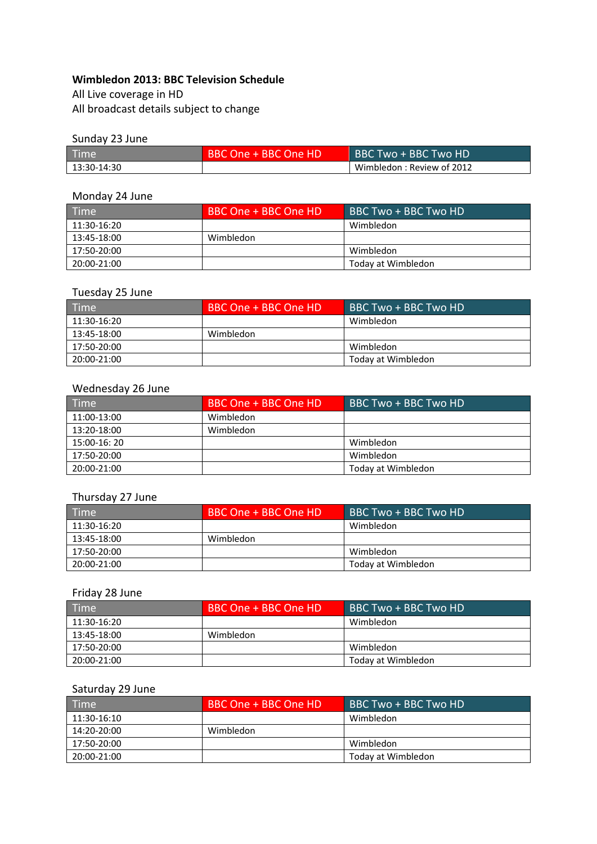#### **Wimbledon 2013: BBC Television Schedule**

All Live coverage in HD All broadcast details subject to change

#### Sunday 23 June

| <b>Time</b> | BBC One + BBC One HD | BBC Two + BBC Two HD      |
|-------------|----------------------|---------------------------|
| 13:30-14:30 |                      | Wimbledon: Review of 2012 |

## Monday 24 June

| Time        | BBC One + BBC One HD | BBC Two + BBC Two HD |
|-------------|----------------------|----------------------|
| 11:30-16:20 |                      | Wimbledon            |
| 13:45-18:00 | Wimbledon            |                      |
| 17:50-20:00 |                      | Wimbledon            |
| 20:00-21:00 |                      | Today at Wimbledon   |

### Tuesday 25 June

| <b>Time</b> | BBC One + BBC One HD | BBC Two + BBC Two HD |
|-------------|----------------------|----------------------|
| 11:30-16:20 |                      | Wimbledon            |
| 13:45-18:00 | Wimbledon            |                      |
| 17:50-20:00 |                      | Wimbledon            |
| 20:00-21:00 |                      | Today at Wimbledon   |

#### Wednesday 26 June

| Time         | BBC One + BBC One HD | BBC Two + BBC Two HD |
|--------------|----------------------|----------------------|
| 11:00-13:00  | Wimbledon            |                      |
| 13:20-18:00  | Wimbledon            |                      |
| 15:00-16: 20 |                      | Wimbledon            |
| 17:50-20:00  |                      | Wimbledon            |
| 20:00-21:00  |                      | Today at Wimbledon   |

#### Thursday 27 June

| $\sqrt{$ Time $\sqrt{ }$ | BBC One + BBC One HD | BBC Two + BBC Two HD |
|--------------------------|----------------------|----------------------|
| 11:30-16:20              |                      | Wimbledon            |
| 13:45-18:00              | Wimbledon            |                      |
| 17:50-20:00              |                      | Wimbledon            |
| 20:00-21:00              |                      | Today at Wimbledon   |

# Friday 28 June

| Time        | BBC One + BBC One HD | BBC Two + BBC Two HD |
|-------------|----------------------|----------------------|
| 11:30-16:20 |                      | Wimbledon            |
| 13:45-18:00 | Wimbledon            |                      |
| 17:50-20:00 |                      | Wimbledon            |
| 20:00-21:00 |                      | Today at Wimbledon   |

# Saturday 29 June

| <b>Time</b> | BBC One + BBC One HD | BBC Two + BBC Two HD |
|-------------|----------------------|----------------------|
| 11:30-16:10 |                      | Wimbledon            |
| 14:20-20:00 | Wimbledon            |                      |
| 17:50-20:00 |                      | Wimbledon            |
| 20:00-21:00 |                      | Today at Wimbledon   |